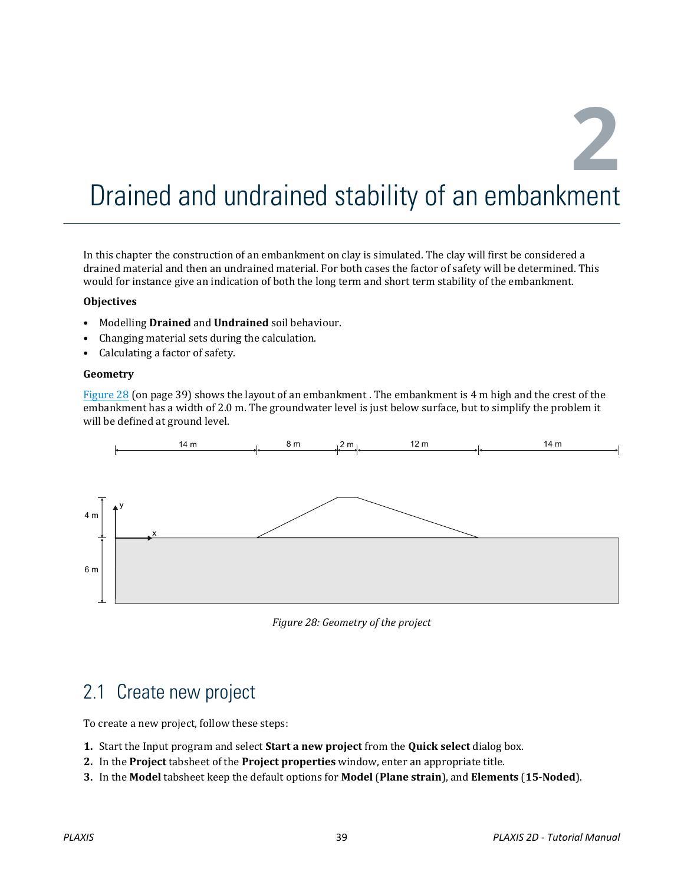**2**

# Drained and undrained stability of an embankment

In this chapter the construction of an embankment on clay is simulated. The clay will first be considered a drained material and then an undrained material. For both cases the factor of safety will be determined. This would for instance give an indication of both the long term and short term stability of the embankment.

#### **Objectives**

- Modelling **Drained** and **Undrained** soil behaviour.
- Changing material sets during the calculation.
- Calculating a factor of safety.

#### **Geometry**

Figure 28 (on page 39) shows the layout of an embankment . The embankment is 4 m high and the crest of the embankment has a width of 2.0 m. The groundwater level is just below surface, but to simplify the problem it will be defined at ground level.



*Figure 28: Geometry of the project*

### 2.1 Create new project

To create a new project, follow these steps:

- **1.** Start the Input program and select **Start a new project** from the **Quick select** dialog box.
- **2.** In the **Project** tabsheet of the **Project properties** window, enter an appropriate title.
- **3.** In the **Model** tabsheet keep the default options for **Model** (**Plane strain**), and **Elements** (**15-Noded**).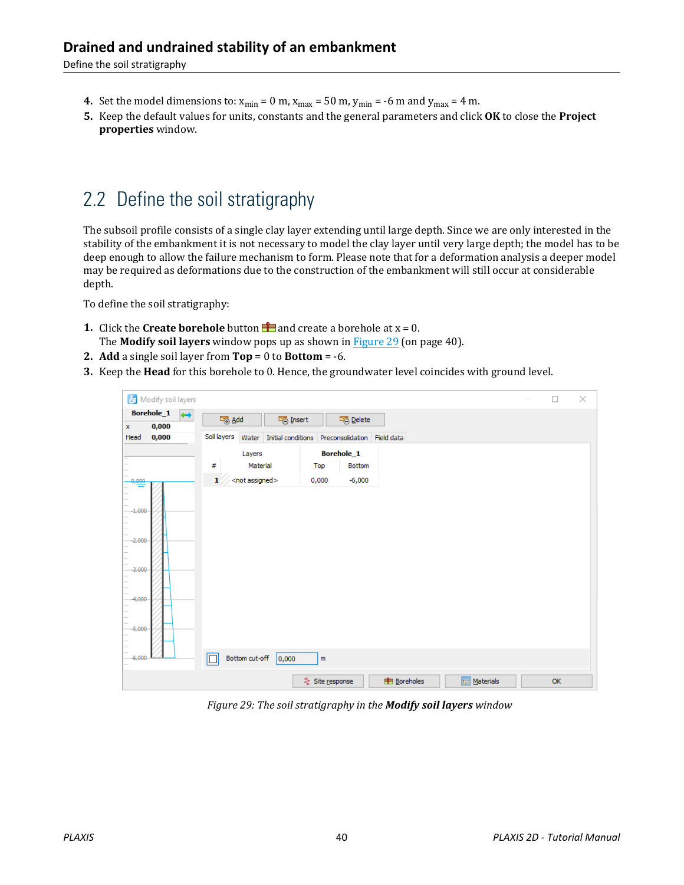#### **Drained and undrained stability of an embankment**

Define the soil stratigraphy

- **4.** Set the model dimensions to:  $x_{min} = 0$  m,  $x_{max} = 50$  m,  $y_{min} = -6$  m and  $y_{max} = 4$  m.
- **5.** Keep the default values for units, constants and the general parameters and click **OK** to close the **Project properties** window.

### 2.2 Define the soil stratigraphy

The subsoil profile consists of a single clay layer extending until large depth. Since we are only interested in the stability of the embankment it is not necessary to model the clay layer until very large depth; the model has to be deep enough to allow the failure mechanism to form. Please note that for a deformation analysis a deeper model may be required as deformations due to the construction of the embankment will still occur at considerable depth.

To define the soil stratigraphy:

- **1.** Click the **Create borehole** button **for a** and create a borehole at  $x = 0$ . The **Modify soil layers** window pops up as shown in Figure 29 (on page 40).
- **2. Add** a single soil layer from **Top** = 0 to **Bottom** = -6.
- **3.** Keep the **Head** for this borehole to 0. Hence, the groundwater level coincides with ground level.

|                                                                               | Modify soil layers                                       |                                                                                                   |                                                              |                              |                                                |                    |                  | $\Box$ | $\times$ |
|-------------------------------------------------------------------------------|----------------------------------------------------------|---------------------------------------------------------------------------------------------------|--------------------------------------------------------------|------------------------------|------------------------------------------------|--------------------|------------------|--------|----------|
| x<br>Head                                                                     | <b>Borehole_1</b><br>$\leftrightarrow$<br>0,000<br>0,000 | Add<br>Soil layers<br>Water                                                                       | Insert<br>Initial conditions   Preconsolidation   Field data |                              | <b>Delete</b>                                  |                    |                  |        |          |
| 0,000<br>$-1,000$<br>$-2,000$<br>$-3,000$<br>$-4,000$<br>$-5,000$<br>$-6,000$ |                                                          | Layers<br>#<br>Material<br><not assigned=""><br/><math>\mathbf{1}</math><br/>Bottom cut-off</not> | 0,000                                                        | Top<br>0,000<br>$\mathsf{m}$ | <b>Borehole_1</b><br><b>Bottom</b><br>$-6,000$ |                    |                  |        |          |
|                                                                               |                                                          |                                                                                                   |                                                              | <b>Site response</b>         |                                                | <b>图 Boreholes</b> | <b>Materials</b> | OK     |          |

*Figure 29: The soil stratigraphy in the Modify soil layers window*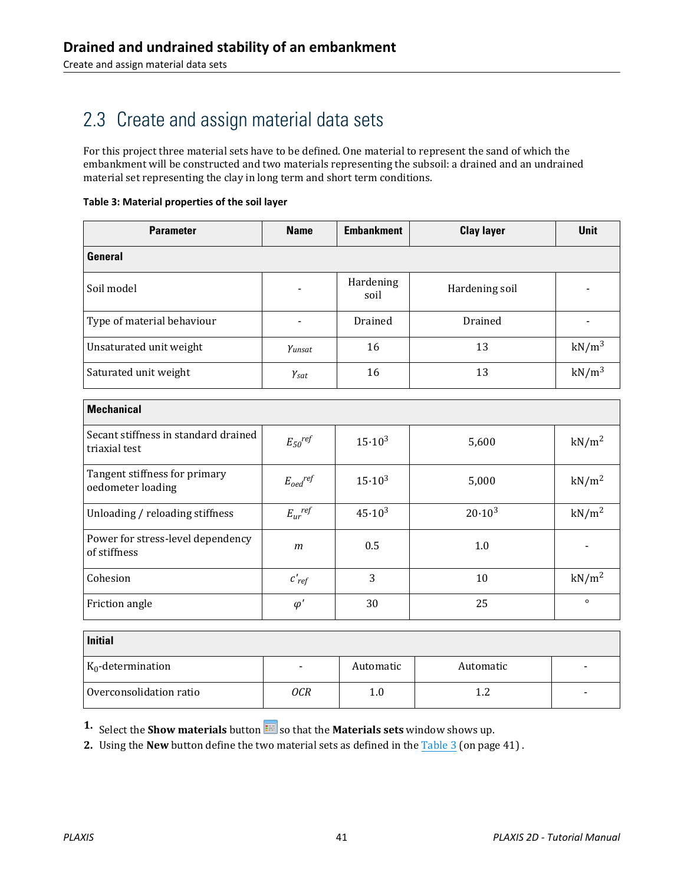# 2.3 Create and assign material data sets

For this project three material sets have to be defined. One material to represent the sand of which the embankment will be constructed and two materials representing the subsoil: a drained and an undrained material set representing the clay in long term and short term conditions.

| Table 3: Material properties of the soil layer |  |  |  |
|------------------------------------------------|--|--|--|
|------------------------------------------------|--|--|--|

| <b>Parameter</b>                                      | <b>Name</b>              | <b>Embankment</b> | <b>Clay layer</b> | <b>Unit</b>       |
|-------------------------------------------------------|--------------------------|-------------------|-------------------|-------------------|
| General                                               |                          |                   |                   |                   |
| Soil model                                            |                          | Hardening<br>soil | Hardening soil    |                   |
| Type of material behaviour                            | $\overline{\phantom{a}}$ | Drained           | Drained           |                   |
| Unsaturated unit weight                               | Yunsat                   | 16                | 13                | $kN/m^3$          |
| Saturated unit weight                                 | $\gamma_{\text{sat}}$    | 16                | 13                | $kN/m^3$          |
| <b>Mechanical</b>                                     |                          |                   |                   |                   |
| Secant stiffness in standard drained<br>triaxial test | $E_{50}$ ref             | $15 \cdot 10^3$   | 5,600             | kN/m <sup>2</sup> |
| Tangent stiffness for primary<br>oedometer loading    | $E_{oed}$ ref            | $15.10^{3}$       | 5,000             | kN/m <sup>2</sup> |
| Unloading / reloading stiffness                       | $E_{ur}$ <sup>ref</sup>  | $45.10^{3}$       | $20.10^{3}$       | kN/m <sup>2</sup> |
| Power for stress-level dependency<br>of stiffness     | m                        | 0.5               | 1.0               |                   |
| Cohesion                                              | $c'_{ref}$               | 3                 | 10                | kN/m <sup>2</sup> |
| Friction angle                                        | $\varphi'$               | 30                | 25                | $\circ$           |

| <b>Initial</b>          |                          |           |           |                          |
|-------------------------|--------------------------|-----------|-----------|--------------------------|
| $K_0$ -determination    | $\overline{\phantom{0}}$ | Automatic | Automatic | $\overline{\phantom{0}}$ |
| Overconsolidation ratio | 0CR                      | 1.0       | ⊥.∠       | -                        |

**1.** Select the **Show materials** button so that the **Materials sets** window shows up.

**2.** Using the **New** button define the two material sets as defined in the Table 3 (on page 41) .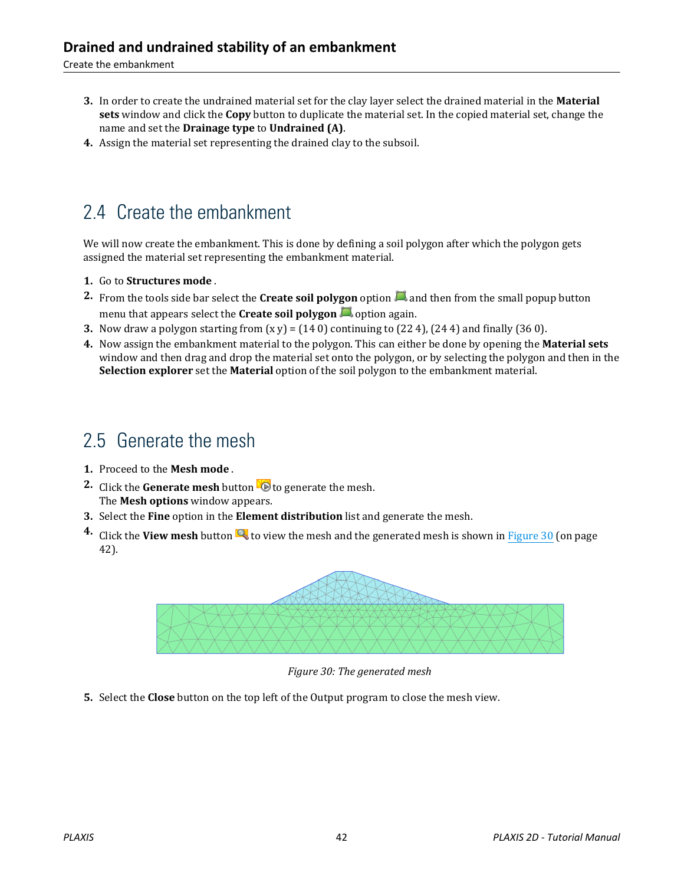Create the embankment

- **3.** In order to create the undrained material set for the clay layer select the drained material in the **Material sets** window and click the **Copy** button to duplicate the material set. In the copied material set, change the name and set the **Drainage type** to **Undrained (A)**.
- **4.** Assign the material set representing the drained clay to the subsoil.

### 2.4 Create the embankment

We will now create the embankment. This is done by defining a soil polygon after which the polygon gets assigned the material set representing the embankment material.

- **1.** Go to **Structures mode** .
- **2.** From the tools side bar select the **Create soil polygon** option **a** and then from the small popup button menu that appears select the **Create soil polygon** option again.
- **3.** Now draw a polygon starting from  $(x y) = (140)$  continuing to  $(224)$ ,  $(244)$  and finally  $(360)$ .
- **4.** Now assign the embankment material to the polygon. This can either be done by opening the **Material sets** window and then drag and drop the material set onto the polygon, or by selecting the polygon and then in the **Selection explorer** set the **Material** option of the soil polygon to the embankment material.

### 2.5 Generate the mesh

- **1.** Proceed to the **Mesh mode** .
- **2.** Click the **Generate mesh** button **the generate the mesh.** The **Mesh options** window appears.
- **3.** Select the **Fine** option in the **Element distribution** list and generate the mesh.
- **4.** Click the View mesh button **the view** to view the mesh and the generated mesh is shown in Figure 30 (on page 42).



*Figure 30: The generated mesh*

**5.** Select the **Close** button on the top left of the Output program to close the mesh view.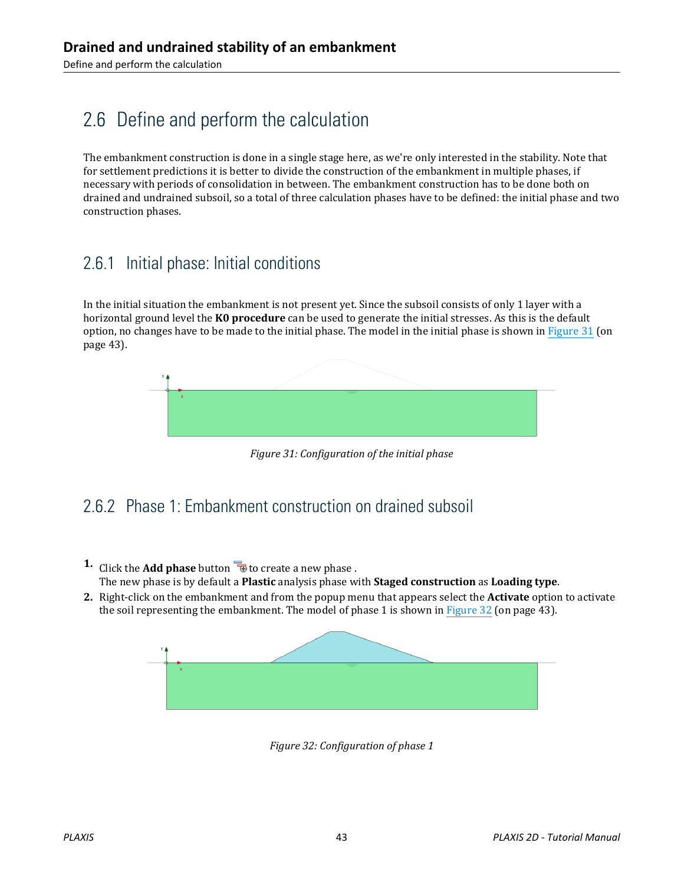# 2.6 Define and perform the calculation

The embankment construction is done in a single stage here, as we're only interested in the stability. Note that for settlement predictions it is better to divide the construction of the embankment in multiple phases, if necessary with periods of consolidation in between. The embankment construction has to be done both on drained and undrained subsoil, so a total of three calculation phases have to be defined: the initial phase and two construction phases.

### 2.6.1 Initial phase: Initial conditions

In the initial situation the embankment is not present yet. Since the subsoil consists of only 1 layer with a horizontal ground level the **K0 procedure** can be used to generate the initial stresses. As this is the default option, no changes have to be made to the initial phase. The model in the initial phase is shown in Figure 31 (on page 43).



*Figure 31: Configuration of the initial phase*

### 2.6.2 Phase 1: Embankment construction on drained subsoil

- **1.** Click the **Add phase** button  $\overline{\mathbf{B}}$  to create a new phase . The new phase is by default a **Plastic** analysis phase with **Staged construction** as **Loading type**.
- **2.** Right-click on the embankment and from the popup menu that appears select the **Activate** option to activate the soil representing the embankment. The model of phase 1 is shown in Figure 32 (on page 43).



*Figure 32: Configuration of phase 1*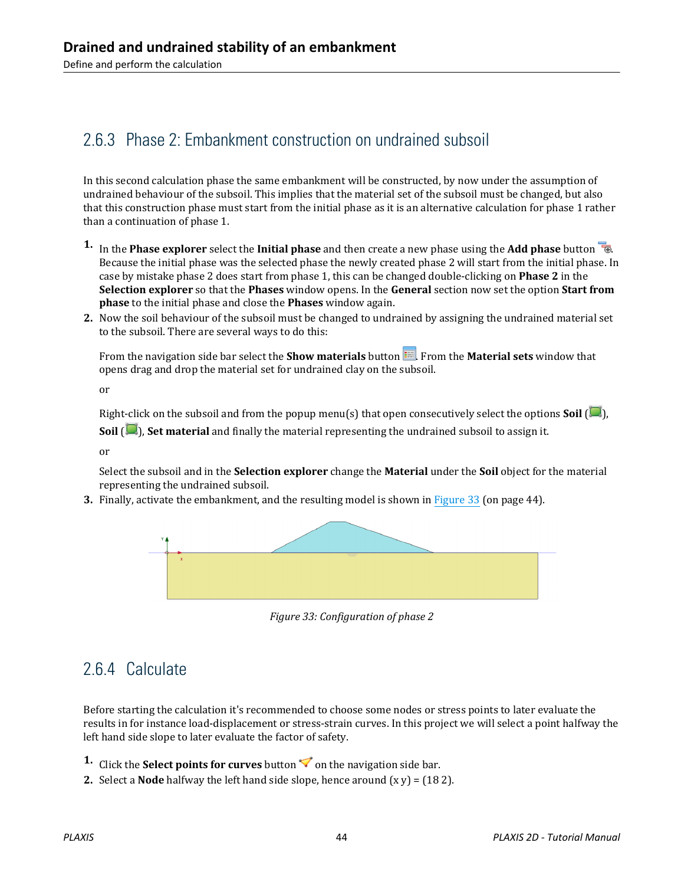Define and perform the calculation

### 2.6.3 Phase 2: Embankment construction on undrained subsoil

In this second calculation phase the same embankment will be constructed, by now under the assumption of undrained behaviour of the subsoil. This implies that the material set of the subsoil must be changed, but also that this construction phase must start from the initial phase as it is an alternative calculation for phase 1 rather than a continuation of phase 1.

- **1.** In the **Phase explorer** select the **Initial phase** and then create a new phase using the **Add phase** button . Because the initial phase was the selected phase the newly created phase 2 will start from the initial phase. In case by mistake phase 2 does start from phase 1, this can be changed double-clicking on **Phase 2** in the **Selection explorer** so that the **Phases** window opens. In the **General** section now set the option **Start from phase** to the initial phase and close the **Phases** window again.
- **2.** Now the soil behaviour of the subsoil must be changed to undrained by assigning the undrained material set to the subsoil. There are several ways to do this:

From the navigation side bar select the **Show materials** button **...** From the **Material sets** window that opens drag and drop the material set for undrained clay on the subsoil.

or

Right-click on the subsoil and from the popup menu(s) that open consecutively select the options **Soil** ( ), **Soil** ( $\Box$ ), **Set material** and finally the material representing the undrained subsoil to assign it.

or

Select the subsoil and in the **Selection explorer** change the **Material** under the **Soil** object for the material representing the undrained subsoil.

**3.** Finally, activate the embankment, and the resulting model is shown in Figure 33 (on page 44).



*Figure 33: Configuration of phase 2*

### 2.6.4 Calculate

Before starting the calculation it's recommended to choose some nodes or stress points to later evaluate the results in for instance load-displacement or stress-strain curves. In this project we will select a point halfway the left hand side slope to later evaluate the factor of safety.

- **1.** Click the **Select points for curves** button  $\blacktriangledown$  on the navigation side bar.
- **2.** Select a **Node** halfway the left hand side slope, hence around  $(x y) = (182)$ .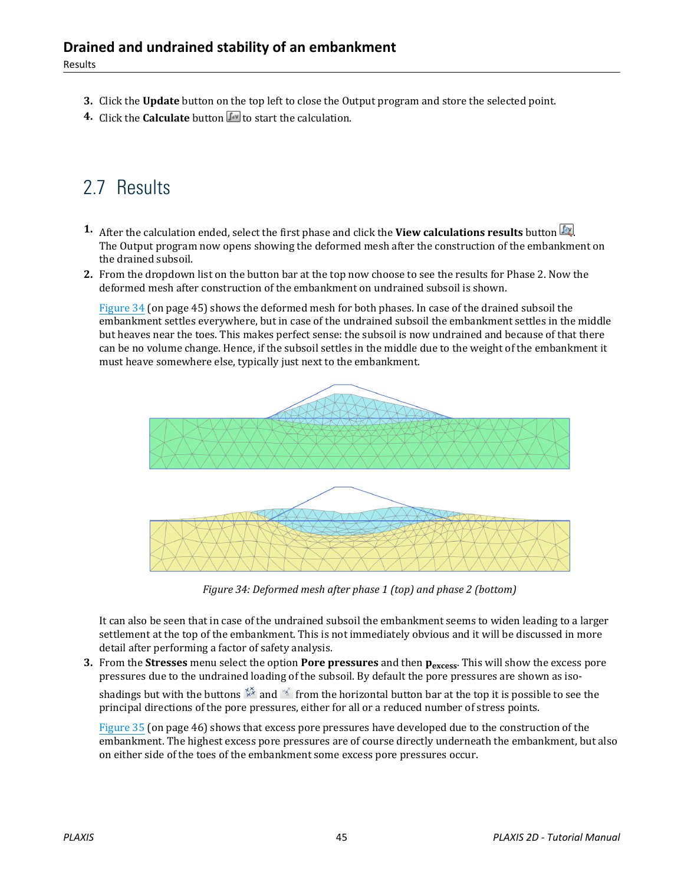- **3.** Click the **Update** button on the top left to close the Output program and store the selected point.
- **4.** Click the **Calculate** button  $\mathbb{F}$  to start the calculation.

# 2.7 Results

- **1.** After the calculation ended, select the first phase and click the **View calculations results** button . The Output program now opens showing the deformed mesh after the construction of the embankment on the drained subsoil.
- **2.** From the dropdown list on the button bar at the top now choose to see the results for Phase 2. Now the deformed mesh after construction of the embankment on undrained subsoil is shown.

Figure 34 (on page 45) shows the deformed mesh for both phases. In case of the drained subsoil the embankment settles everywhere, but in case of the undrained subsoil the embankment settles in the middle but heaves near the toes. This makes perfect sense: the subsoil is now undrained and because of that there can be no volume change. Hence, if the subsoil settles in the middle due to the weight of the embankment it must heave somewhere else, typically just next to the embankment.



*Figure 34: Deformed mesh after phase 1 (top) and phase 2 (bottom)*

It can also be seen that in case of the undrained subsoil the embankment seems to widen leading to a larger settlement at the top of the embankment. This is not immediately obvious and it will be discussed in more detail after performing a factor of safety analysis.

**3.** From the **Stresses** menu select the option **Pore pressures** and then **pexcess**. This will show the excess pore pressures due to the undrained loading of the subsoil. By default the pore pressures are shown as iso-

shadings but with the buttons  $\frac{1}{2}$  and  $\frac{1}{2}$  from the horizontal button bar at the top it is possible to see the principal directions of the pore pressures, either for all or a reduced number of stress points.

[Figure 35](#page-7-0) (on page 46) shows that excess pore pressures have developed due to the construction of the embankment. The highest excess pore pressures are of course directly underneath the embankment, but also on either side of the toes of the embankment some excess pore pressures occur.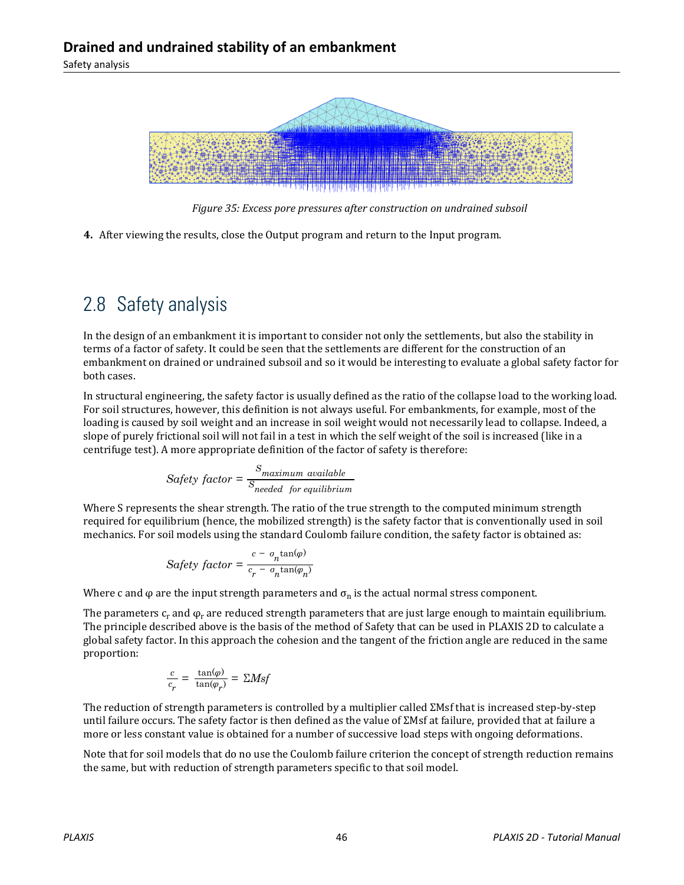<span id="page-7-0"></span>

*Figure 35: Excess pore pressures after construction on undrained subsoil*

**4.** After viewing the results, close the Output program and return to the Input program.

# 2.8 Safety analysis

In the design of an embankment it is important to consider not only the settlements, but also the stability in terms of a factor of safety. It could be seen that the settlements are different for the construction of an embankment on drained or undrained subsoil and so it would be interesting to evaluate a global safety factor for both cases.

In structural engineering, the safety factor is usually defined as the ratio of the collapse load to the working load. For soil structures, however, this definition is not always useful. For embankments, for example, most of the loading is caused by soil weight and an increase in soil weight would not necessarily lead to collapse. Indeed, a slope of purely frictional soil will not fail in a test in which the self weight of the soil is increased (like in a centrifuge test). A more appropriate definition of the factor of safety is therefore:

Safety factor = 
$$
\frac{S_{maximum\ available}}{S_{needed\ for\ equilibrium}}
$$

Where S represents the shear strength. The ratio of the true strength to the computed minimum strength required for equilibrium (hence, the mobilized strength) is the safety factor that is conventionally used in soil mechanics. For soil models using the standard Coulomb failure condition, the safety factor is obtained as:

$$
Safety\ factor = \frac{c - o_n \tan(\varphi)}{c_r - o_n \tan(\varphi_n)}
$$

Where c and  $\varphi$  are the input strength parameters and  $\sigma_n$  is the actual normal stress component.

The parameters  $\mathsf{c}_\mathrm{r}$  and  $\pmb{\phi}_\mathrm{r}$  are reduced strength parameters that are just large enough to maintain equilibrium. The principle described above is the basis of the method of Safety that can be used in PLAXIS 2D to calculate a global safety factor. In this approach the cohesion and the tangent of the friction angle are reduced in the same proportion:

$$
\frac{c}{c_r} = \frac{\tan(\varphi)}{\tan(\varphi_r)} = \Sigma Msf
$$

The reduction of strength parameters is controlled by a multiplier called ΣMsf that is increased step-by-step until failure occurs. The safety factor is then defined as the value of ΣMsf at failure, provided that at failure a more or less constant value is obtained for a number of successive load steps with ongoing deformations.

Note that for soil models that do no use the Coulomb failure criterion the concept of strength reduction remains the same, but with reduction of strength parameters specific to that soil model.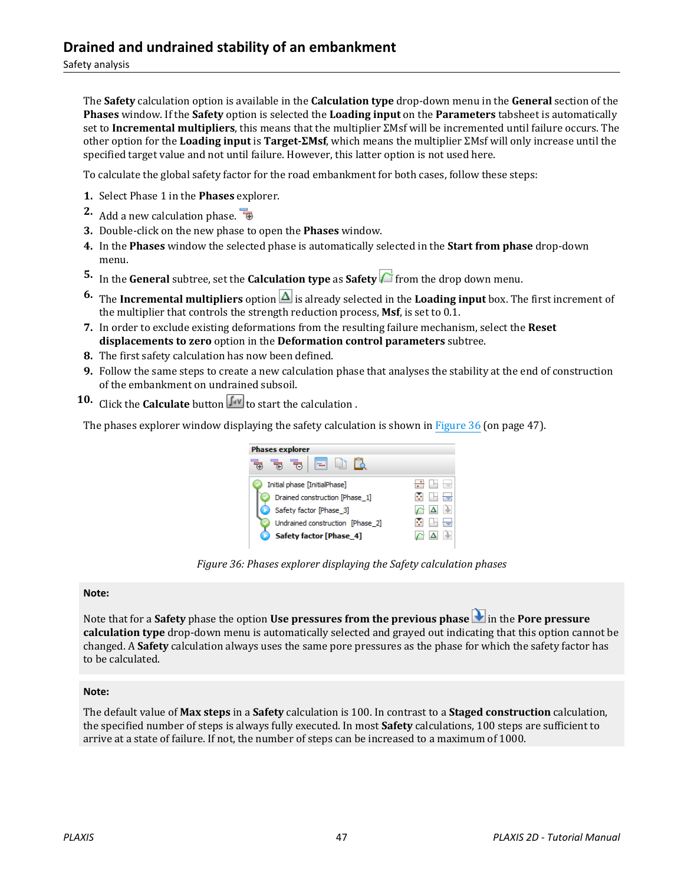The **Safety** calculation option is available in the **Calculation type** drop-down menu in the **General** section of the **Phases** window. If the **Safety** option is selected the **Loading input** on the **Parameters** tabsheet is automatically set to **Incremental multipliers**, this means that the multiplier ΣMsf will be incremented until failure occurs. The other option for the **Loading input** is **Target-ΣMsf**, which means the multiplier ΣMsf will only increase until the specified target value and not until failure. However, this latter option is not used here.

To calculate the global safety factor for the road embankment for both cases, follow these steps:

- **1.** Select Phase 1 in the **Phases** explorer.
- 2. Add a new calculation phase.
- **3.** Double-click on the new phase to open the **Phases** window.
- **4.** In the **Phases** window the selected phase is automatically selected in the **Start from phase** drop-down menu.
- **5.** In the **General** subtree, set the **Calculation type** as **Safety f** from the drop down menu.
- **6.** The **Incremental multipliers** option  $\Delta$  is already selected in the **Loading input** box. The first increment of the multiplier that controls the strength reduction process, **Msf**, is set to 0.1.
- **7.** In order to exclude existing deformations from the resulting failure mechanism, select the **Reset displacements to zero** option in the **Deformation control parameters** subtree.
- **8.** The first safety calculation has now been defined.
- **9.** Follow the same steps to create a new calculation phase that analyses the stability at the end of construction of the embankment on undrained subsoil.
- **10.** Click the **Calculate** button  $\int_{0}^{2\pi}$  to start the calculation.

The phases explorer window displaying the safety calculation is shown in Figure 36 (on page 47).



*Figure 36: Phases explorer displaying the Safety calculation phases*

#### **Note:**

Note that for a **Safety** phase the option **Use pressures from the previous phase** in the **Pore pressure calculation type** drop-down menu is automatically selected and grayed out indicating that this option cannot be changed. A **Safety** calculation always uses the same pore pressures as the phase for which the safety factor has to be calculated.

#### **Note:**

The default value of **Max steps** in a **Safety** calculation is 100. In contrast to a **Staged construction** calculation, the specified number of steps is always fully executed. In most **Safety** calculations, 100 steps are sufficient to arrive at a state of failure. If not, the number of steps can be increased to a maximum of 1000.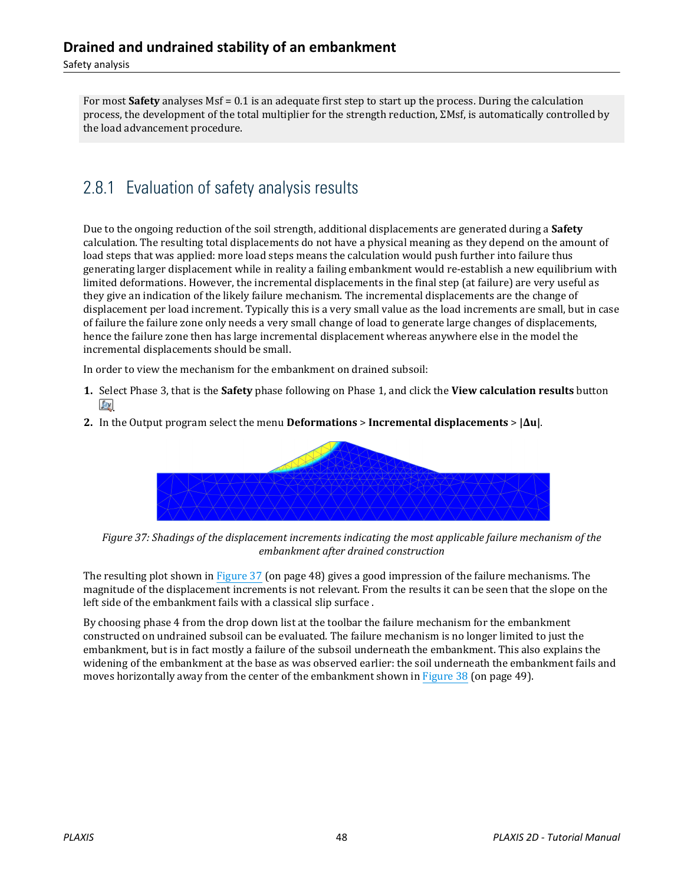For most **Safety** analyses Msf = 0.1 is an adequate first step to start up the process. During the calculation process, the development of the total multiplier for the strength reduction, ΣMsf, is automatically controlled by the load advancement procedure.

### 2.8.1 Evaluation of safety analysis results

Due to the ongoing reduction of the soil strength, additional displacements are generated during a **Safety** calculation. The resulting total displacements do not have a physical meaning as they depend on the amount of load steps that was applied: more load steps means the calculation would push further into failure thus generating larger displacement while in reality a failing embankment would re-establish a new equilibrium with limited deformations. However, the incremental displacements in the final step (at failure) are very useful as they give an indication of the likely failure mechanism. The incremental displacements are the change of displacement per load increment. Typically this is a very small value as the load increments are small, but in case of failure the failure zone only needs a very small change of load to generate large changes of displacements, hence the failure zone then has large incremental displacement whereas anywhere else in the model the incremental displacements should be small.

In order to view the mechanism for the embankment on drained subsoil:

- **1.** Select Phase 3, that is the **Safety** phase following on Phase 1, and click the **View calculation results** button **.**
- **2.** In the Output program select the menu **Deformations** > **Incremental displacements** > **|Δu|**.



*Figure 37: Shadings of the displacement increments indicating the most applicable failure mechanism of the embankment after drained construction*

The resulting plot shown in Figure 37 (on page 48) gives a good impression of the failure mechanisms. The magnitude of the displacement increments is not relevant. From the results it can be seen that the slope on the left side of the embankment fails with a classical slip surface .

By choosing phase 4 from the drop down list at the toolbar the failure mechanism for the embankment constructed on undrained subsoil can be evaluated. The failure mechanism is no longer limited to just the embankment, but is in fact mostly a failure of the subsoil underneath the embankment. This also explains the widening of the embankment at the base as was observed earlier: the soil underneath the embankment fails and moves horizontally away from the center of the embankment shown in [Figure 38](#page-10-0) (on page 49).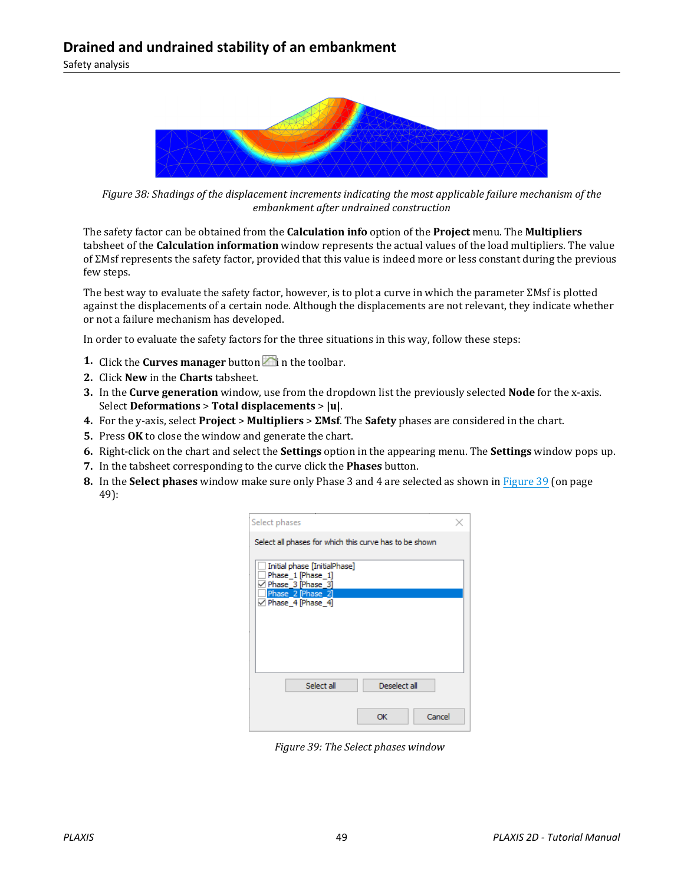<span id="page-10-0"></span>

*Figure 38: Shadings of the displacement increments indicating the most applicable failure mechanism of the embankment after undrained construction*

The safety factor can be obtained from the **Calculation info** option of the **Project** menu. The **Multipliers** tabsheet of the **Calculation information** window represents the actual values of the load multipliers. The value of ΣMsf represents the safety factor, provided that this value is indeed more or less constant during the previous few steps.

The best way to evaluate the safety factor, however, is to plot a curve in which the parameter ΣMsf is plotted against the displacements of a certain node. Although the displacements are not relevant, they indicate whether or not a failure mechanism has developed.

In order to evaluate the safety factors for the three situations in this way, follow these steps:

- **1.** Click the **Curves manager** button  $\Box$  in the toolbar.
- **2.** Click **New** in the **Charts** tabsheet.
- **3.** In the **Curve generation** window, use from the dropdown list the previously selected **Node** for the x-axis. Select **Deformations** > **Total displacements** > **|u|**.
- **4.** For the y-axis, select **Project** > **Multipliers** > **ΣMsf**. The **Safety** phases are considered in the chart.
- **5.** Press **OK** to close the window and generate the chart.
- **6.** Right-click on the chart and select the **Settings** option in the appearing menu. The **Settings** window pops up.
- **7.** In the tabsheet corresponding to the curve click the **Phases** button.
- **8.** In the **Select phases** window make sure only Phase 3 and 4 are selected as shown in Figure 39 (on page 49):

| Select phases                                                            |  |
|--------------------------------------------------------------------------|--|
| Select all phases for which this curve has to be shown                   |  |
| Initial phase [InitialPhase]<br>Phase_1 [Phase_1]<br>○ Phase_3 [Phase_3] |  |
| Phase_2 [Phase_2]<br>Ø Phase 4 [Phase 4]                                 |  |
|                                                                          |  |
|                                                                          |  |
| Select all<br>Deselect all                                               |  |
| Cancel<br>OK                                                             |  |

*Figure 39: The Select phases window*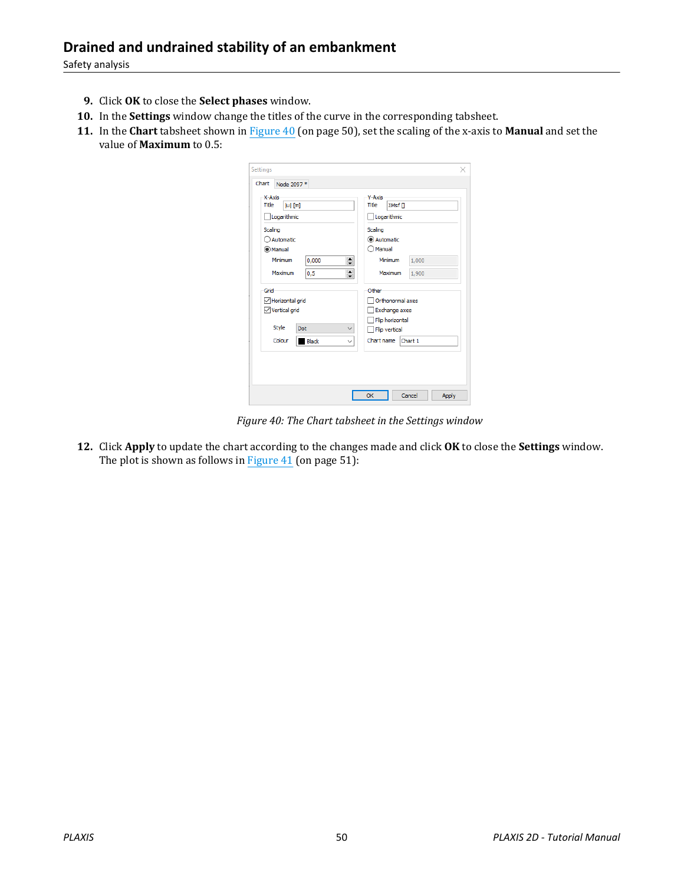#### **Drained and undrained stability of an embankment**

#### Safety analysis

- **9.** Click **OK** to close the **Select phases** window.
- **10.** In the **Settings** window change the titles of the curve in the corresponding tabsheet.
- **11.** In the **Chart** tabsheet shown in Figure 40 (on page 50), set the scaling of the x-axis to **Manual** and set the value of **Maximum** to 0.5:

| Title<br>lul [m]<br>Logarithmic | Title<br>2Msf<br>Logarithmic<br>Scaling |  |  |
|---------------------------------|-----------------------------------------|--|--|
| Scaling                         |                                         |  |  |
| Automatic                       | C Automatic                             |  |  |
| <b>Manual</b>                   | Manual                                  |  |  |
| $\div$<br>Minimum<br>0,000      | Minimum<br>1,000                        |  |  |
| $\div$<br>Maximum<br>0,5        | Maximum<br>1,900                        |  |  |
| Grid                            | Other                                   |  |  |
| Horizontal grid                 | Orthonormal axes                        |  |  |
| $\vee$ Vertical grid            | <b>Exchange axes</b>                    |  |  |
|                                 | Flip horizontal                         |  |  |
| <b>Style</b><br>Dot<br>V        | Flip vertical                           |  |  |
| Colour<br>Black<br>$\checkmark$ | Chart name<br>Chart 1                   |  |  |
|                                 |                                         |  |  |

*Figure 40: The Chart tabsheet in the Settings window*

**12.** Click **Apply** to update the chart according to the changes made and click **OK** to close the **Settings** window. The plot is shown as follows in [Figure 41](#page-12-0) (on page 51):